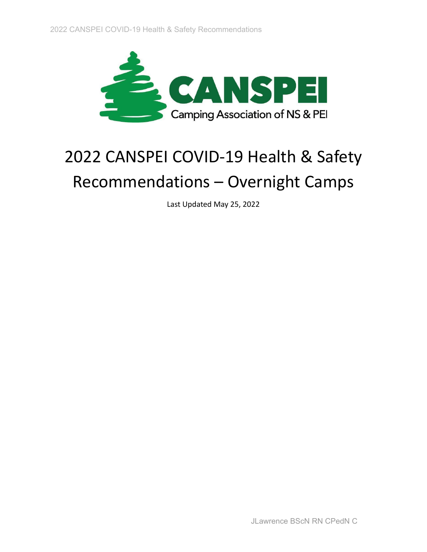

# 2022 CANSPEI COVID-19 Health & Safety Recommendations – Overnight Camps

Last Updated May 25, 2022

JLawrence BScN RN CPedN C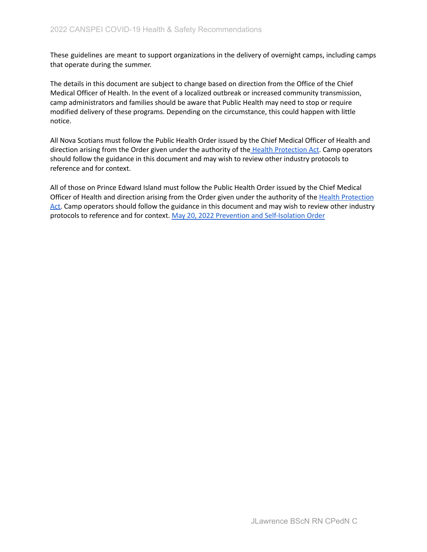These guidelines are meant to support organizations in the delivery of overnight camps, including camps that operate during the summer.

The details in this document are subject to change based on direction from the Office of the Chief Medical Officer of Health. In the event of a localized outbreak or increased community transmission, camp administrators and families should be aware that Public Health may need to stop or require modified delivery of these programs. Depending on the circumstance, this could happen with little notice.

All Nova Scotians must follow the Public Health Order issued by the Chief Medical Officer of Health and direction arising from the Order given under the authority of the Health [Protection](https://nslegislature.ca/sites/default/files/legc/statutes/health%20protection.pdf) Act. Camp operators should follow the guidance in this document and may wish to review other industry protocols to reference and for context.

All of those on Prince Edward Island must follow the Public Health Order issued by the Chief Medical Officer of Health and direction arising from the Order given under the authority of the Health [Protection](https://www.princeedwardisland.ca/sites/default/files/legislation/P-30-1-Public%20Health%20Act.pdf) [Act.](https://www.princeedwardisland.ca/sites/default/files/legislation/P-30-1-Public%20Health%20Act.pdf) Camp operators should follow the guidance in this document and may wish to review other industry protocols to reference and for context. May 20, 2022 Prevention and [Self-Isolation](https://www.princeedwardisland.ca/sites/default/files/publications/covid-19_prevention_and_self_isolation_order.pdf) Order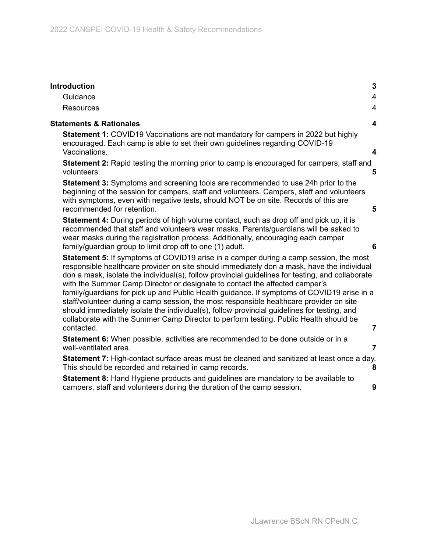| <b>Introduction</b>                                                                                                                                                                                                                                                                                                                                                                                                                                                                                                                                                                                                                                                                                                                                                          | 3                       |
|------------------------------------------------------------------------------------------------------------------------------------------------------------------------------------------------------------------------------------------------------------------------------------------------------------------------------------------------------------------------------------------------------------------------------------------------------------------------------------------------------------------------------------------------------------------------------------------------------------------------------------------------------------------------------------------------------------------------------------------------------------------------------|-------------------------|
| Guidance                                                                                                                                                                                                                                                                                                                                                                                                                                                                                                                                                                                                                                                                                                                                                                     | $\overline{4}$          |
| <b>Resources</b>                                                                                                                                                                                                                                                                                                                                                                                                                                                                                                                                                                                                                                                                                                                                                             | $\overline{\mathbf{4}}$ |
| <b>Statements &amp; Rationales</b>                                                                                                                                                                                                                                                                                                                                                                                                                                                                                                                                                                                                                                                                                                                                           | $\overline{\mathbf{4}}$ |
| <b>Statement 1: COVID19 Vaccinations are not mandatory for campers in 2022 but highly</b><br>encouraged. Each camp is able to set their own guidelines regarding COVID-19<br>Vaccinations.                                                                                                                                                                                                                                                                                                                                                                                                                                                                                                                                                                                   | $\overline{\mathbf{4}}$ |
| <b>Statement 2:</b> Rapid testing the morning prior to camp is encouraged for campers, staff and<br>volunteers.                                                                                                                                                                                                                                                                                                                                                                                                                                                                                                                                                                                                                                                              | 5                       |
| <b>Statement 3:</b> Symptoms and screening tools are recommended to use 24h prior to the<br>beginning of the session for campers, staff and volunteers. Campers, staff and volunteers<br>with symptoms, even with negative tests, should NOT be on site. Records of this are<br>recommended for retention.                                                                                                                                                                                                                                                                                                                                                                                                                                                                   | 5                       |
| <b>Statement 4:</b> During periods of high volume contact, such as drop off and pick up, it is<br>recommended that staff and volunteers wear masks. Parents/guardians will be asked to<br>wear masks during the registration process. Additionally, encouraging each camper<br>family/guardian group to limit drop off to one (1) adult.                                                                                                                                                                                                                                                                                                                                                                                                                                     | 6                       |
| <b>Statement 5:</b> If symptoms of COVID19 arise in a camper during a camp session, the most<br>responsible healthcare provider on site should immediately don a mask, have the individual<br>don a mask, isolate the individual(s), follow provincial guidelines for testing, and collaborate<br>with the Summer Camp Director or designate to contact the affected camper's<br>family/guardians for pick up and Public Health guidance. If symptoms of COVID19 arise in a<br>staff/volunteer during a camp session, the most responsible healthcare provider on site<br>should immediately isolate the individual(s), follow provincial guidelines for testing, and<br>collaborate with the Summer Camp Director to perform testing. Public Health should be<br>contacted. | $\overline{7}$          |
| <b>Statement 6:</b> When possible, activities are recommended to be done outside or in a<br>well-ventilated area.                                                                                                                                                                                                                                                                                                                                                                                                                                                                                                                                                                                                                                                            | $\overline{7}$          |
| <b>Statement 7:</b> High-contact surface areas must be cleaned and sanitized at least once a day.<br>This should be recorded and retained in camp records.                                                                                                                                                                                                                                                                                                                                                                                                                                                                                                                                                                                                                   | 8                       |
| Statement 8: Hand Hygiene products and guidelines are mandatory to be available to<br>campers, staff and volunteers during the duration of the camp session.                                                                                                                                                                                                                                                                                                                                                                                                                                                                                                                                                                                                                 | 9                       |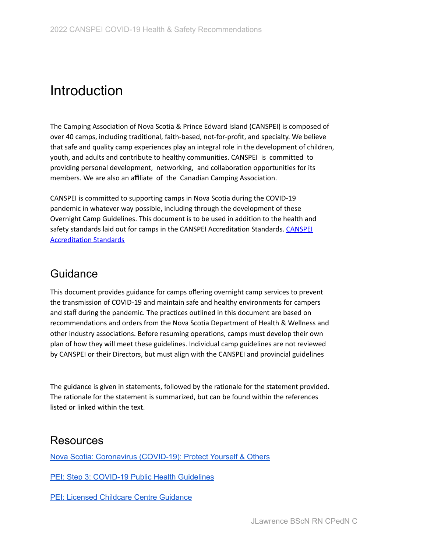## **Introduction**

The Camping Association of Nova Scotia & Prince Edward Island (CANSPEI) is composed of over 40 camps, including traditional, faith-based, not-for-profit, and specialty. We believe that safe and quality camp experiences play an integral role in the development of children, youth, and adults and contribute to healthy communities. CANSPEI is committed to providing personal development, networking, and collaboration opportunities for its members. We are also an affiliate of the Canadian Camping Association.

CANSPEI is committed to supporting camps in Nova Scotia during the COVID-19 pandemic in whatever way possible, including through the development of these Overnight Camp Guidelines. This document is to be used in addition to the health and safety standards laid out for camps in the [CANSPEI](https://www.canspei.ca/accreditation-standards) Accreditation Standards. CANSPEI [Accreditation](https://www.canspei.ca/accreditation-standards) Standards

#### <span id="page-3-0"></span>Guidance

This document provides guidance for camps offering overnight camp services to prevent the transmission of COVID-19 and maintain safe and healthy environments for campers and staff during the pandemic. The practices outlined in this document are based on recommendations and orders from the Nova Scotia Department of Health & Wellness and other industry associations. Before resuming operations, camps must develop their own plan of how they will meet these guidelines. Individual camp guidelines are not reviewed by CANSPEI or their Directors, but must align with the CANSPEI and provincial guidelines

The guidance is given in statements, followed by the rationale for the statement provided. The rationale for the statement is summarized, but can be found within the references listed or linked within the text.

#### <span id="page-3-1"></span>Resources

Nova Scotia: Coronavirus [\(COVID-19\):](https://novascotia.ca/coronavirus/avoiding-infection/#stay-home-if-you-feel-sick) Protect Yourself & Others

PEI: Step 3: COVID-19 Public Health [Guidelines](https://www.princeedwardisland.ca/en/information/health-and-wellness/step-3-covid-19-public-health-guidance)

PEI: Licensed Childcare Centre [Guidance](https://www.princeedwardisland.ca/en/information/health-and-wellness/licensed-child-care-centre-guidance)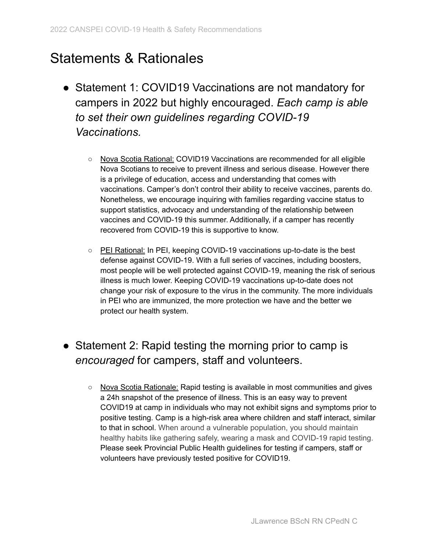## <span id="page-4-0"></span>Statements & Rationales

- <span id="page-4-1"></span>● Statement 1: COVID19 Vaccinations are not mandatory for campers in 2022 but highly encouraged. *Each camp is able to set their own guidelines regarding COVID-19 Vaccinations.*
	- Nova Scotia Rational: COVID19 Vaccinations are recommended for all eligible Nova Scotians to receive to prevent illness and serious disease. However there is a privilege of education, access and understanding that comes with vaccinations. Camper's don't control their ability to receive vaccines, parents do. Nonetheless, we encourage inquiring with families regarding vaccine status to support statistics, advocacy and understanding of the relationship between vaccines and COVID-19 this summer. Additionally, if a camper has recently recovered from COVID-19 this is supportive to know.
	- PEI Rational: In PEI, keeping COVID-19 vaccinations up-to-date is the best defense against COVID-19. With a full series of vaccines, including boosters, most people will be well protected against COVID-19, meaning the risk of serious illness is much lower. Keeping COVID-19 vaccinations up-to-date does not change your risk of exposure to the virus in the community. The more individuals in PEI who are immunized, the more protection we have and the better we protect our health system.

### <span id="page-4-2"></span>• Statement 2: Rapid testing the morning prior to camp is *encouraged* for campers, staff and volunteers.

○ Nova Scotia Rationale: Rapid testing is available in most communities and gives a 24h snapshot of the presence of illness. This is an easy way to prevent COVID19 at camp in individuals who may not exhibit signs and symptoms prior to positive testing. Camp is a high-risk area where children and staff interact, similar to that in school. When around a vulnerable population, you should maintain healthy habits like gathering safely, wearing a mask and COVID-19 rapid testing. Please seek Provincial Public Health guidelines for testing if campers, staff or volunteers have previously tested positive for COVID19.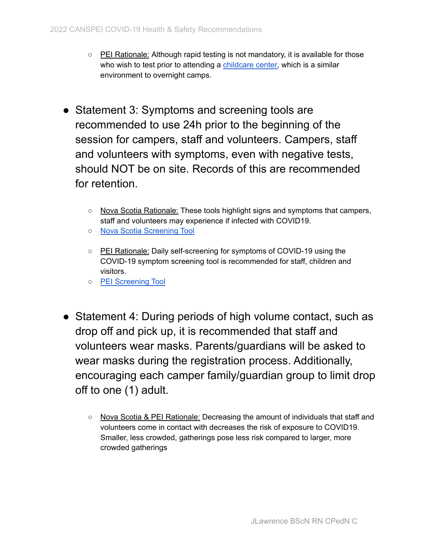- PEI Rationale: Although rapid testing is not mandatory, it is available for those who wish to test prior to attending a [childcare](https://www.princeedwardisland.ca/en/information/health-and-wellness/licensed-child-care-centre-guidance) center, which is a similar environment to overnight camps.
- <span id="page-5-0"></span>• Statement 3: Symptoms and screening tools are recommended to use 24h prior to the beginning of the session for campers, staff and volunteers. Campers, staff and volunteers with symptoms, even with negative tests, should NOT be on site. Records of this are recommended for retention.
	- Nova Scotia Rationale: These tools highlight signs and symptoms that campers, staff and volunteers may experience if infected with COVID19.
	- Nova Scotia [Screening](https://covid-self-assessment.novascotia.ca/en) Tool
	- PEI Rationale: Daily self-screening for symptoms of COVID-19 using the COVID-19 symptom screening tool is recommended for staff, children and visitors.
	- PEI [Screening](https://assessment.princeedwardisland.ca/) Tool
- <span id="page-5-1"></span>• Statement 4: During periods of high volume contact, such as drop off and pick up, it is recommended that staff and volunteers wear masks. Parents/guardians will be asked to wear masks during the registration process. Additionally, encouraging each camper family/guardian group to limit drop off to one (1) adult.
	- Nova Scotia & PEI Rationale: Decreasing the amount of individuals that staff and volunteers come in contact with decreases the risk of exposure to COVID19. Smaller, less crowded, gatherings pose less risk compared to larger, more crowded gatherings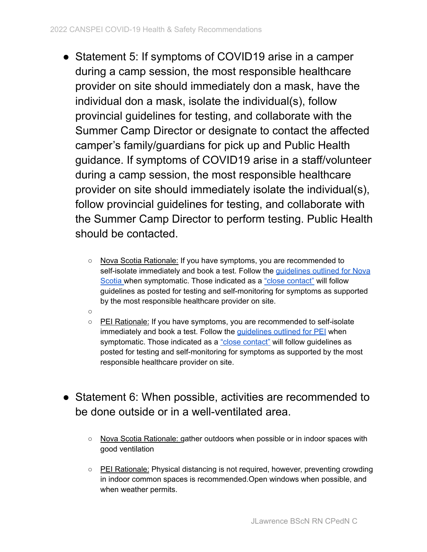- Statement 5: If symptoms of COVID19 arise in a camper during a camp session, the most responsible healthcare provider on site should immediately don a mask, have the individual don a mask, isolate the individual(s), follow provincial guidelines for testing, and collaborate with the Summer Camp Director or designate to contact the affected camper's family/guardians for pick up and Public Health guidance. If symptoms of COVID19 arise in a staff/volunteer during a camp session, the most responsible healthcare provider on site should immediately isolate the individual(s), follow provincial guidelines for testing, and collaborate with the Summer Camp Director to perform testing. Public Health should be contacted.
	- o Nova Scotia Rationale: If you have symptoms, you are recommended to self-isolate immediately and book a test. Follow the quidelines outlined for Nova [Scotia](https://novascotia.ca/coronavirus/symptoms-and-testing/#symptoms) when symptomatic. Those indicated as a "close [contact"](https://www.nshealth.ca/coronavirus) will follow guidelines as posted for testing and self-monitoring for symptoms as supported by the most responsible healthcare provider on site.
	- $\Omega$
	- PEI Rationale: If you have symptoms, you are recommended to self-isolate immediately and book a test. Follow the *[guidelines](https://www.princeedwardisland.ca/en/information/health-and-wellness/covid-19-testing-in-pei) outlined for PEI* when symptomatic. Those indicated as a "close [contact"](https://www.princeedwardisland.ca/en/information/health-and-wellness/covid-19-close-contacts) will follow guidelines as posted for testing and self-monitoring for symptoms as supported by the most responsible healthcare provider on site.
- <span id="page-6-1"></span><span id="page-6-0"></span>• Statement 6: When possible, activities are recommended to be done outside or in a well-ventilated area.
	- Nova Scotia Rationale: gather outdoors when possible or in indoor spaces with good ventilation
	- PEI Rationale: Physical distancing is not required, however, preventing crowding in indoor common spaces is recommended.Open windows when possible, and when weather permits.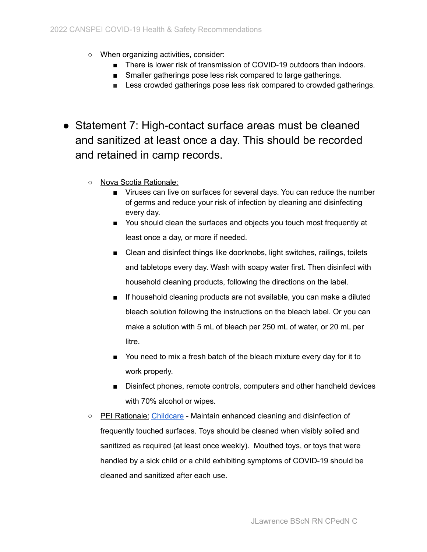- When organizing activities, consider:
	- There is lower risk of transmission of COVID-19 outdoors than indoors.
	- Smaller gatherings pose less risk compared to large gatherings.
	- Less crowded gatherings pose less risk compared to crowded gatherings.
- <span id="page-7-0"></span>● Statement 7: High-contact surface areas must be cleaned and sanitized at least once a day. This should be recorded and retained in camp records.
	- Nova Scotia Rationale:
		- Viruses can live on surfaces for several days. You can reduce the number of germs and reduce your risk of infection by cleaning and disinfecting every day.
		- You should clean the surfaces and objects you touch most frequently at least once a day, or more if needed.
		- Clean and disinfect things like doorknobs, light switches, railings, toilets and tabletops every day. Wash with soapy water first. Then disinfect with household cleaning products, following the directions on the label.
		- If household cleaning products are not available, you can make a diluted bleach solution following the instructions on the bleach label. Or you can make a solution with 5 mL of bleach per 250 mL of water, or 20 mL per litre.
		- You need to mix a fresh batch of the bleach mixture every day for it to work properly.
		- Disinfect phones, remote controls, computers and other handheld devices with 70% alcohol or wipes.
	- PEI Rationale: [Childcare](https://www.princeedwardisland.ca/en/information/health-and-wellness/licensed-child-care-centre-guidance) Maintain enhanced cleaning and disinfection of frequently touched surfaces. Toys should be cleaned when visibly soiled and sanitized as required (at least once weekly). Mouthed toys, or toys that were handled by a sick child or a child exhibiting symptoms of COVID-19 should be cleaned and sanitized after each use.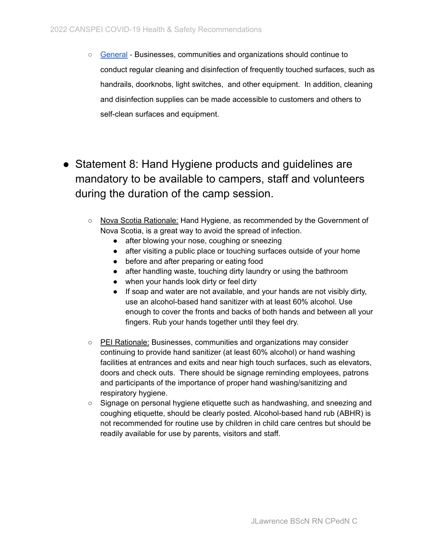- [General](https://www.princeedwardisland.ca/en/information/health-and-wellness/step-3-covid-19-public-health-guidance) Businesses, communities and organizations should continue to conduct regular cleaning and disinfection of frequently touched surfaces, such as handrails, doorknobs, light switches, and other equipment. In addition, cleaning and disinfection supplies can be made accessible to customers and others to self-clean surfaces and equipment.
- <span id="page-8-0"></span>• Statement 8: Hand Hygiene products and guidelines are mandatory to be available to campers, staff and volunteers during the duration of the camp session.
	- Nova Scotia Rationale: Hand Hygiene, as recommended by the Government of Nova Scotia, is a great way to avoid the spread of infection.
		- after blowing your nose, coughing or sneezing
		- after visiting a public place or touching surfaces outside of your home
		- before and after preparing or eating food
		- after handling waste, touching dirty laundry or using the bathroom
		- when your hands look dirty or feel dirty
		- If soap and water are not available, and your hands are not visibly dirty, use an alcohol-based hand sanitizer with at least 60% alcohol. Use enough to cover the fronts and backs of both hands and between all your fingers. Rub your hands together until they feel dry.
	- PEI Rationale: Businesses, communities and organizations may consider continuing to provide hand sanitizer (at least 60% alcohol) or hand washing facilities at entrances and exits and near high touch surfaces, such as elevators, doors and check outs. There should be signage reminding employees, patrons and participants of the importance of proper hand washing/sanitizing and respiratory hygiene.
	- Signage on personal hygiene etiquette such as handwashing, and sneezing and coughing etiquette, should be clearly posted. Alcohol-based hand rub (ABHR) is not recommended for routine use by children in child care centres but should be readily available for use by parents, visitors and staff.